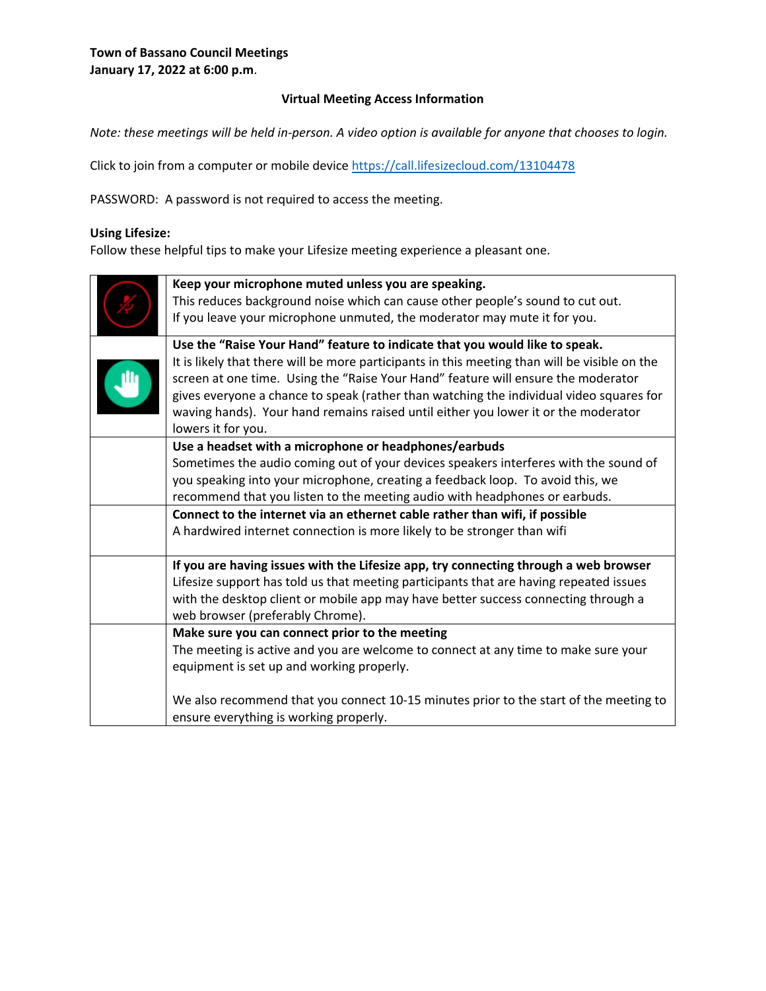## **Virtual Meeting Access Information**

*Note: these meetings will be held in-person. A video option is available for anyone that chooses to login.* 

Click to join from a computer or mobile device<https://call.lifesizecloud.com/13104478>

PASSWORD: A password is not required to access the meeting.

#### **Using Lifesize:**

Follow these helpful tips to make your Lifesize meeting experience a pleasant one.

| Keep your microphone muted unless you are speaking.<br>This reduces background noise which can cause other people's sound to cut out.<br>If you leave your microphone unmuted, the moderator may mute it for you.                                                                        |  |  |
|------------------------------------------------------------------------------------------------------------------------------------------------------------------------------------------------------------------------------------------------------------------------------------------|--|--|
| Use the "Raise Your Hand" feature to indicate that you would like to speak.<br>It is likely that there will be more participants in this meeting than will be visible on the                                                                                                             |  |  |
| screen at one time. Using the "Raise Your Hand" feature will ensure the moderator<br>gives everyone a chance to speak (rather than watching the individual video squares for<br>waving hands). Your hand remains raised until either you lower it or the moderator<br>lowers it for you. |  |  |
| Use a headset with a microphone or headphones/earbuds                                                                                                                                                                                                                                    |  |  |
| Sometimes the audio coming out of your devices speakers interferes with the sound of                                                                                                                                                                                                     |  |  |
| you speaking into your microphone, creating a feedback loop. To avoid this, we                                                                                                                                                                                                           |  |  |
| recommend that you listen to the meeting audio with headphones or earbuds.                                                                                                                                                                                                               |  |  |
| Connect to the internet via an ethernet cable rather than wifi, if possible                                                                                                                                                                                                              |  |  |
| A hardwired internet connection is more likely to be stronger than wifi                                                                                                                                                                                                                  |  |  |
| If you are having issues with the Lifesize app, try connecting through a web browser                                                                                                                                                                                                     |  |  |
| Lifesize support has told us that meeting participants that are having repeated issues                                                                                                                                                                                                   |  |  |
| with the desktop client or mobile app may have better success connecting through a<br>web browser (preferably Chrome).                                                                                                                                                                   |  |  |
| Make sure you can connect prior to the meeting                                                                                                                                                                                                                                           |  |  |
| The meeting is active and you are welcome to connect at any time to make sure your                                                                                                                                                                                                       |  |  |
| equipment is set up and working properly.                                                                                                                                                                                                                                                |  |  |
| We also recommend that you connect 10-15 minutes prior to the start of the meeting to<br>ensure everything is working properly.                                                                                                                                                          |  |  |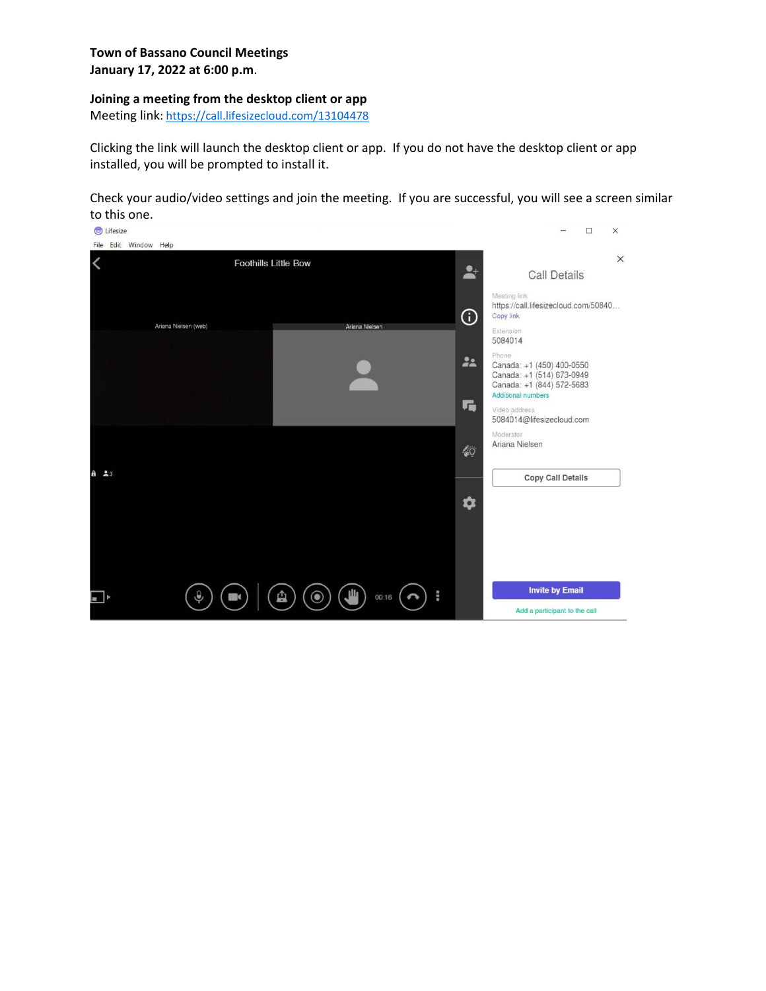#### **Joining a meeting from the desktop client or app**

Meeting link:<https://call.lifesizecloud.com/13104478>

Clicking the link will launch the desktop client or app. If you do not have the desktop client or app installed, you will be prompted to install it.

Check your audio/video settings and join the meeting. If you are successful, you will see a screen similar to this one.

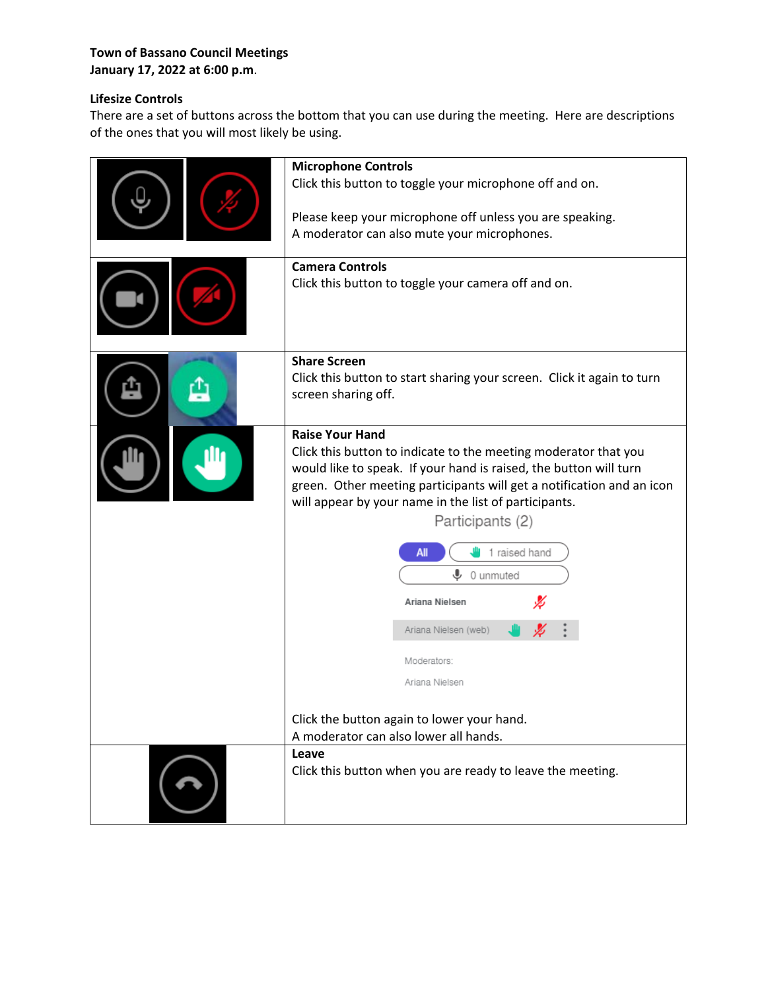## **Town of Bassano Council Meetings January 17, 2022 at 6:00 p.m**.

# **Lifesize Controls**

There are a set of buttons across the bottom that you can use during the meeting. Here are descriptions of the ones that you will most likely be using.

| <b>Microphone Controls</b><br>Click this button to toggle your microphone off and on.<br>Please keep your microphone off unless you are speaking.<br>A moderator can also mute your microphones.<br><b>Camera Controls</b><br>Click this button to toggle your camera off and on.                                                                                                                                                                                                                                                |
|----------------------------------------------------------------------------------------------------------------------------------------------------------------------------------------------------------------------------------------------------------------------------------------------------------------------------------------------------------------------------------------------------------------------------------------------------------------------------------------------------------------------------------|
| <b>Share Screen</b><br>Click this button to start sharing your screen. Click it again to turn<br>screen sharing off.                                                                                                                                                                                                                                                                                                                                                                                                             |
| <b>Raise Your Hand</b><br>Click this button to indicate to the meeting moderator that you<br>would like to speak. If your hand is raised, the button will turn<br>green. Other meeting participants will get a notification and an icon<br>will appear by your name in the list of participants.<br>Participants (2)<br>1 raised hand<br>All<br>⋓<br>0 unmuted<br>Ariana Nielsen<br>Ariana Nielsen (web)<br>Moderators:<br>Ariana Nielsen<br>Click the button again to lower your hand.<br>A moderator can also lower all hands. |
| Leave<br>Click this button when you are ready to leave the meeting.                                                                                                                                                                                                                                                                                                                                                                                                                                                              |